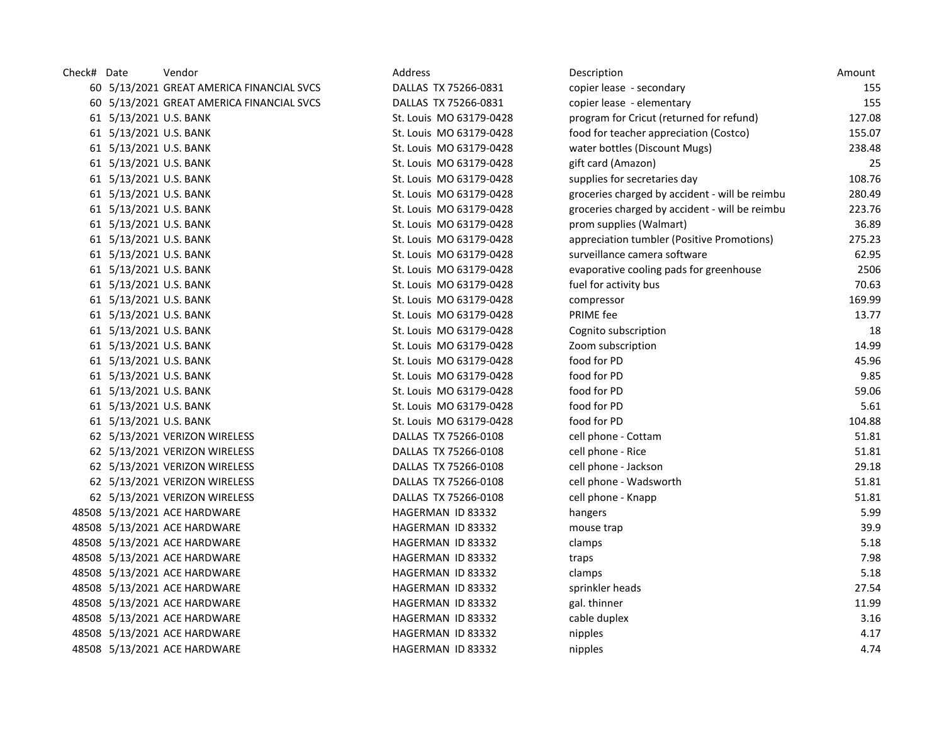| Check# Date |                        | Vendor                                    | Address                 | Description                                    | Amount |
|-------------|------------------------|-------------------------------------------|-------------------------|------------------------------------------------|--------|
|             |                        | 60 5/13/2021 GREAT AMERICA FINANCIAL SVCS | DALLAS TX 75266-0831    | copier lease - secondary                       | 155    |
|             |                        | 60 5/13/2021 GREAT AMERICA FINANCIAL SVCS | DALLAS TX 75266-0831    | copier lease - elementary                      | 155    |
|             | 61 5/13/2021 U.S. BANK |                                           | St. Louis MO 63179-0428 | program for Cricut (returned for refund)       | 127.08 |
|             | 61 5/13/2021 U.S. BANK |                                           | St. Louis MO 63179-0428 | food for teacher appreciation (Costco)         | 155.07 |
|             | 61 5/13/2021 U.S. BANK |                                           | St. Louis MO 63179-0428 | water bottles (Discount Mugs)                  | 238.48 |
|             | 61 5/13/2021 U.S. BANK |                                           | St. Louis MO 63179-0428 | gift card (Amazon)                             | 25     |
|             | 61 5/13/2021 U.S. BANK |                                           | St. Louis MO 63179-0428 | supplies for secretaries day                   | 108.76 |
|             | 61 5/13/2021 U.S. BANK |                                           | St. Louis MO 63179-0428 | groceries charged by accident - will be reimbu | 280.49 |
|             | 61 5/13/2021 U.S. BANK |                                           | St. Louis MO 63179-0428 | groceries charged by accident - will be reimbu | 223.76 |
|             | 61 5/13/2021 U.S. BANK |                                           | St. Louis MO 63179-0428 | prom supplies (Walmart)                        | 36.89  |
|             | 61 5/13/2021 U.S. BANK |                                           | St. Louis MO 63179-0428 | appreciation tumbler (Positive Promotions)     | 275.23 |
|             | 61 5/13/2021 U.S. BANK |                                           | St. Louis MO 63179-0428 | surveillance camera software                   | 62.95  |
|             | 61 5/13/2021 U.S. BANK |                                           | St. Louis MO 63179-0428 | evaporative cooling pads for greenhouse        | 2506   |
|             | 61 5/13/2021 U.S. BANK |                                           | St. Louis MO 63179-0428 | fuel for activity bus                          | 70.63  |
|             | 61 5/13/2021 U.S. BANK |                                           | St. Louis MO 63179-0428 | compressor                                     | 169.99 |
|             | 61 5/13/2021 U.S. BANK |                                           | St. Louis MO 63179-0428 | PRIME fee                                      | 13.77  |
|             | 61 5/13/2021 U.S. BANK |                                           | St. Louis MO 63179-0428 | Cognito subscription                           | 18     |
|             | 61 5/13/2021 U.S. BANK |                                           | St. Louis MO 63179-0428 | Zoom subscription                              | 14.99  |
|             | 61 5/13/2021 U.S. BANK |                                           | St. Louis MO 63179-0428 | food for PD                                    | 45.96  |
|             | 61 5/13/2021 U.S. BANK |                                           | St. Louis MO 63179-0428 | food for PD                                    | 9.85   |
|             | 61 5/13/2021 U.S. BANK |                                           | St. Louis MO 63179-0428 | food for PD                                    | 59.06  |
|             | 61 5/13/2021 U.S. BANK |                                           | St. Louis MO 63179-0428 | food for PD                                    | 5.61   |
|             | 61 5/13/2021 U.S. BANK |                                           | St. Louis MO 63179-0428 | food for PD                                    | 104.88 |
|             |                        | 62 5/13/2021 VERIZON WIRELESS             | DALLAS TX 75266-0108    | cell phone - Cottam                            | 51.81  |
|             |                        | 62 5/13/2021 VERIZON WIRELESS             | DALLAS TX 75266-0108    | cell phone - Rice                              | 51.81  |
|             |                        | 62 5/13/2021 VERIZON WIRELESS             | DALLAS TX 75266-0108    | cell phone - Jackson                           | 29.18  |
|             |                        | 62 5/13/2021 VERIZON WIRELESS             | DALLAS TX 75266-0108    | cell phone - Wadsworth                         | 51.81  |
|             |                        | 62 5/13/2021 VERIZON WIRELESS             | DALLAS TX 75266-0108    | cell phone - Knapp                             | 51.81  |
|             |                        | 48508 5/13/2021 ACE HARDWARE              | HAGERMAN ID 83332       | hangers                                        | 5.99   |
|             |                        | 48508 5/13/2021 ACE HARDWARE              | HAGERMAN ID 83332       | mouse trap                                     | 39.9   |
|             |                        | 48508 5/13/2021 ACE HARDWARE              | HAGERMAN ID 83332       | clamps                                         | 5.18   |
|             |                        | 48508 5/13/2021 ACE HARDWARE              | HAGERMAN ID 83332       | traps                                          | 7.98   |
|             |                        | 48508 5/13/2021 ACE HARDWARE              | HAGERMAN ID 83332       | clamps                                         | 5.18   |
|             |                        | 48508 5/13/2021 ACE HARDWARE              | HAGERMAN ID 83332       | sprinkler heads                                | 27.54  |
|             |                        | 48508 5/13/2021 ACE HARDWARE              | HAGERMAN ID 83332       | gal. thinner                                   | 11.99  |
|             |                        | 48508 5/13/2021 ACE HARDWARE              | HAGERMAN ID 83332       | cable duplex                                   | 3.16   |
|             |                        | 48508 5/13/2021 ACE HARDWARE              | HAGERMAN ID 83332       | nipples                                        | 4.17   |
|             |                        | 48508 5/13/2021 ACE HARDWARE              | HAGERMAN ID 83332       | nipples                                        | 4.74   |
|             |                        |                                           |                         |                                                |        |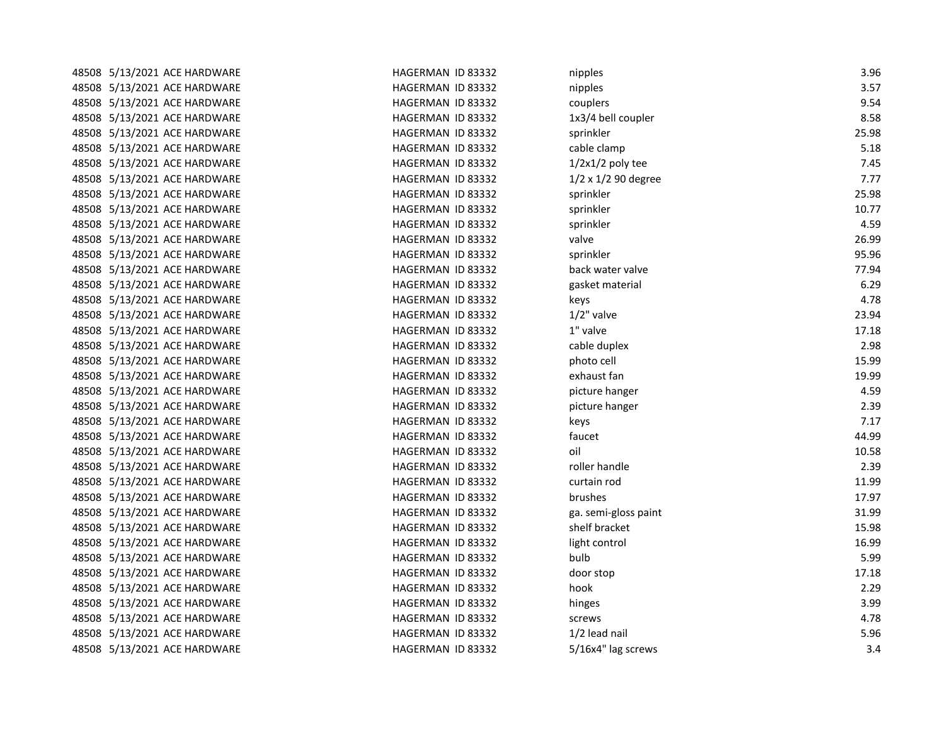| 48508 5/13/2021 ACE HARDWARE | HAGERMAN ID 83332 | nipples              | 3.96  |
|------------------------------|-------------------|----------------------|-------|
| 48508 5/13/2021 ACE HARDWARE | HAGERMAN ID 83332 | nipples              | 3.57  |
| 48508 5/13/2021 ACE HARDWARE | HAGERMAN ID 83332 | couplers             | 9.54  |
| 48508 5/13/2021 ACE HARDWARE | HAGERMAN ID 83332 | 1x3/4 bell coupler   | 8.58  |
| 48508 5/13/2021 ACE HARDWARE | HAGERMAN ID 83332 | sprinkler            | 25.98 |
| 48508 5/13/2021 ACE HARDWARE | HAGERMAN ID 83332 | cable clamp          | 5.18  |
| 48508 5/13/2021 ACE HARDWARE | HAGERMAN ID 83332 | $1/2x1/2$ poly tee   | 7.45  |
| 48508 5/13/2021 ACE HARDWARE | HAGERMAN ID 83332 | 1/2 x 1/2 90 degree  | 7.77  |
| 48508 5/13/2021 ACE HARDWARE | HAGERMAN ID 83332 | sprinkler            | 25.98 |
| 48508 5/13/2021 ACE HARDWARE | HAGERMAN ID 83332 | sprinkler            | 10.77 |
| 48508 5/13/2021 ACE HARDWARE | HAGERMAN ID 83332 | sprinkler            | 4.59  |
| 48508 5/13/2021 ACE HARDWARE | HAGERMAN ID 83332 | valve                | 26.99 |
| 48508 5/13/2021 ACE HARDWARE | HAGERMAN ID 83332 | sprinkler            | 95.96 |
| 48508 5/13/2021 ACE HARDWARE | HAGERMAN ID 83332 | back water valve     | 77.94 |
| 48508 5/13/2021 ACE HARDWARE | HAGERMAN ID 83332 | gasket material      | 6.29  |
| 48508 5/13/2021 ACE HARDWARE | HAGERMAN ID 83332 | keys                 | 4.78  |
| 48508 5/13/2021 ACE HARDWARE | HAGERMAN ID 83332 | $1/2$ " valve        | 23.94 |
| 48508 5/13/2021 ACE HARDWARE | HAGERMAN ID 83332 | 1" valve             | 17.18 |
| 48508 5/13/2021 ACE HARDWARE | HAGERMAN ID 83332 | cable duplex         | 2.98  |
| 48508 5/13/2021 ACE HARDWARE | HAGERMAN ID 83332 | photo cell           | 15.99 |
| 48508 5/13/2021 ACE HARDWARE | HAGERMAN ID 83332 | exhaust fan          | 19.99 |
| 48508 5/13/2021 ACE HARDWARE | HAGERMAN ID 83332 | picture hanger       | 4.59  |
| 48508 5/13/2021 ACE HARDWARE | HAGERMAN ID 83332 | picture hanger       | 2.39  |
| 48508 5/13/2021 ACE HARDWARE | HAGERMAN ID 83332 | keys                 | 7.17  |
| 48508 5/13/2021 ACE HARDWARE | HAGERMAN ID 83332 | faucet               | 44.99 |
| 48508 5/13/2021 ACE HARDWARE | HAGERMAN ID 83332 | oil                  | 10.58 |
| 48508 5/13/2021 ACE HARDWARE | HAGERMAN ID 83332 | roller handle        | 2.39  |
| 48508 5/13/2021 ACE HARDWARE | HAGERMAN ID 83332 | curtain rod          | 11.99 |
| 48508 5/13/2021 ACE HARDWARE | HAGERMAN ID 83332 | brushes              | 17.97 |
| 48508 5/13/2021 ACE HARDWARE | HAGERMAN ID 83332 | ga. semi-gloss paint | 31.99 |
| 48508 5/13/2021 ACE HARDWARE | HAGERMAN ID 83332 | shelf bracket        | 15.98 |
| 48508 5/13/2021 ACE HARDWARE | HAGERMAN ID 83332 | light control        | 16.99 |
| 48508 5/13/2021 ACE HARDWARE | HAGERMAN ID 83332 | bulb                 | 5.99  |
| 48508 5/13/2021 ACE HARDWARE | HAGERMAN ID 83332 | door stop            | 17.18 |
| 48508 5/13/2021 ACE HARDWARE | HAGERMAN ID 83332 | hook                 | 2.29  |
| 48508 5/13/2021 ACE HARDWARE | HAGERMAN ID 83332 | hinges               | 3.99  |
| 48508 5/13/2021 ACE HARDWARE | HAGERMAN ID 83332 | screws               | 4.78  |
| 48508 5/13/2021 ACE HARDWARE | HAGERMAN ID 83332 | 1/2 lead nail        | 5.96  |
| 48508 5/13/2021 ACE HARDWARE | HAGERMAN ID 83332 | 5/16x4" lag screws   | 3.4   |
|                              |                   |                      |       |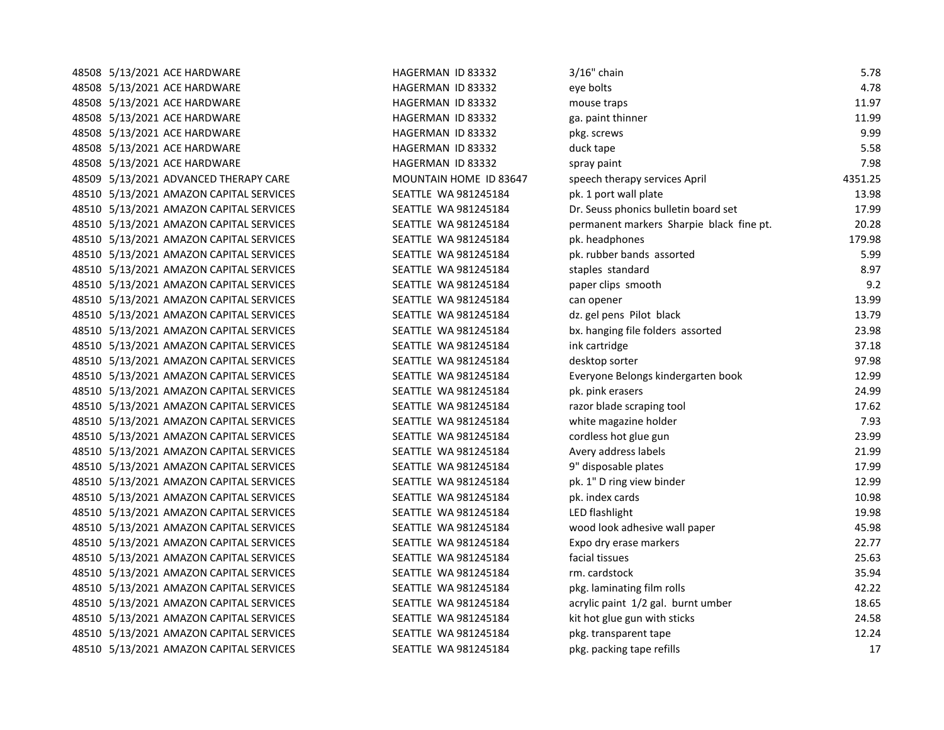| 48508 5/13/2021 ACE HARDWARE            | HAGERMAN ID 83332      | $3/16"$ chain                            | 5.78    |
|-----------------------------------------|------------------------|------------------------------------------|---------|
| 48508 5/13/2021 ACE HARDWARE            | HAGERMAN ID 83332      | eye bolts                                | 4.78    |
| 48508 5/13/2021 ACE HARDWARE            | HAGERMAN ID 83332      | mouse traps                              | 11.97   |
| 48508 5/13/2021 ACE HARDWARE            | HAGERMAN ID 83332      | ga. paint thinner                        | 11.99   |
| 48508 5/13/2021 ACE HARDWARE            | HAGERMAN ID 83332      | pkg. screws                              | 9.99    |
| 48508 5/13/2021 ACE HARDWARE            | HAGERMAN ID 83332      | duck tape                                | 5.58    |
| 48508 5/13/2021 ACE HARDWARE            | HAGERMAN ID 83332      | spray paint                              | 7.98    |
| 48509 5/13/2021 ADVANCED THERAPY CARE   | MOUNTAIN HOME ID 83647 | speech therapy services April            | 4351.25 |
| 48510 5/13/2021 AMAZON CAPITAL SERVICES | SEATTLE WA 981245184   | pk. 1 port wall plate                    | 13.98   |
| 48510 5/13/2021 AMAZON CAPITAL SERVICES | SEATTLE WA 981245184   | Dr. Seuss phonics bulletin board set     | 17.99   |
| 48510 5/13/2021 AMAZON CAPITAL SERVICES | SEATTLE WA 981245184   | permanent markers Sharpie black fine pt. | 20.28   |
| 48510 5/13/2021 AMAZON CAPITAL SERVICES | SEATTLE WA 981245184   | pk. headphones                           | 179.98  |
| 48510 5/13/2021 AMAZON CAPITAL SERVICES | SEATTLE WA 981245184   | pk. rubber bands assorted                | 5.99    |
| 48510 5/13/2021 AMAZON CAPITAL SERVICES | SEATTLE WA 981245184   | staples standard                         | 8.97    |
| 48510 5/13/2021 AMAZON CAPITAL SERVICES | SEATTLE WA 981245184   | paper clips smooth                       | 9.2     |
| 48510 5/13/2021 AMAZON CAPITAL SERVICES | SEATTLE WA 981245184   | can opener                               | 13.99   |
| 48510 5/13/2021 AMAZON CAPITAL SERVICES | SEATTLE WA 981245184   | dz. gel pens Pilot black                 | 13.79   |
| 48510 5/13/2021 AMAZON CAPITAL SERVICES | SEATTLE WA 981245184   | bx. hanging file folders assorted        | 23.98   |
| 48510 5/13/2021 AMAZON CAPITAL SERVICES | SEATTLE WA 981245184   | ink cartridge                            | 37.18   |
| 48510 5/13/2021 AMAZON CAPITAL SERVICES | SEATTLE WA 981245184   | desktop sorter                           | 97.98   |
| 48510 5/13/2021 AMAZON CAPITAL SERVICES | SEATTLE WA 981245184   | Everyone Belongs kindergarten book       | 12.99   |
| 48510 5/13/2021 AMAZON CAPITAL SERVICES | SEATTLE WA 981245184   | pk. pink erasers                         | 24.99   |
| 48510 5/13/2021 AMAZON CAPITAL SERVICES | SEATTLE WA 981245184   | razor blade scraping tool                | 17.62   |
| 48510 5/13/2021 AMAZON CAPITAL SERVICES | SEATTLE WA 981245184   | white magazine holder                    | 7.93    |
| 48510 5/13/2021 AMAZON CAPITAL SERVICES | SEATTLE WA 981245184   | cordless hot glue gun                    | 23.99   |
| 48510 5/13/2021 AMAZON CAPITAL SERVICES | SEATTLE WA 981245184   | Avery address labels                     | 21.99   |
| 48510 5/13/2021 AMAZON CAPITAL SERVICES | SEATTLE WA 981245184   | 9" disposable plates                     | 17.99   |
| 48510 5/13/2021 AMAZON CAPITAL SERVICES | SEATTLE WA 981245184   | pk. 1" D ring view binder                | 12.99   |
| 48510 5/13/2021 AMAZON CAPITAL SERVICES | SEATTLE WA 981245184   | pk. index cards                          | 10.98   |
| 48510 5/13/2021 AMAZON CAPITAL SERVICES | SEATTLE WA 981245184   | LED flashlight                           | 19.98   |
| 48510 5/13/2021 AMAZON CAPITAL SERVICES | SEATTLE WA 981245184   | wood look adhesive wall paper            | 45.98   |
| 48510 5/13/2021 AMAZON CAPITAL SERVICES | SEATTLE WA 981245184   | Expo dry erase markers                   | 22.77   |
| 48510 5/13/2021 AMAZON CAPITAL SERVICES | SEATTLE WA 981245184   | facial tissues                           | 25.63   |
| 48510 5/13/2021 AMAZON CAPITAL SERVICES | SEATTLE WA 981245184   | rm. cardstock                            | 35.94   |
| 48510 5/13/2021 AMAZON CAPITAL SERVICES | SEATTLE WA 981245184   | pkg. laminating film rolls               | 42.22   |
| 48510 5/13/2021 AMAZON CAPITAL SERVICES | SEATTLE WA 981245184   | acrylic paint 1/2 gal. burnt umber       | 18.65   |
| 48510 5/13/2021 AMAZON CAPITAL SERVICES | SEATTLE WA 981245184   | kit hot glue gun with sticks             | 24.58   |
| 48510 5/13/2021 AMAZON CAPITAL SERVICES | SEATTLE WA 981245184   | pkg. transparent tape                    | 12.24   |
| 48510 5/13/2021 AMAZON CAPITAL SERVICES | SEATTLE WA 981245184   | pkg. packing tape refills                | 17      |

| HAGERMAN ID 83332      | 3/             |
|------------------------|----------------|
| HAGERMAN ID 83332      | ey             |
| HAGERMAN ID 83332      | m              |
| HAGERMAN ID 83332      | ga             |
| HAGERMAN ID 83332      | pk             |
| HAGERMAN ID 83332      | dı             |
| HAGERMAN ID 83332      | sp             |
| MOUNTAIN HOME ID 83647 | sp             |
| SEATTLE WA 981245184   | pk             |
| SEATTLE WA 981245184   | Dr             |
| SEATTLE WA 981245184   | pe             |
| SEATTLE WA 981245184   | pk             |
| SEATTLE WA 981245184   | pk             |
| SEATTLE WA 981245184   | sti            |
| SEATTLE WA 981245184   | pa             |
| SEATTLE WA 981245184   | ca             |
| SEATTLE WA 981245184   | dz             |
| SEATTLE WA 981245184   | bx             |
| SEATTLE WA 981245184   | in             |
| SEATTLE WA 981245184   | de             |
| SEATTLE WA 981245184   | Ev             |
| SEATTLE WA 981245184   | pk             |
| SEATTLE WA 981245184   | ra             |
| SEATTLE WA 981245184   | wl             |
| SEATTLE WA 981245184   | co             |
| SEATTLE WA 981245184   | Α١             |
| SEATTLE WA 981245184   | 9"             |
| SEATTLE WA 981245184   | pk             |
| SEATTLE WA 981245184   | pk             |
| SEATTLE WA 981245184   | LE             |
| SEATTLE WA 981245184   | W <sub>(</sub> |
| SEATTLE WA 981245184   | Ex             |
| SEATTLE WA 981245184   | fa             |
| SEATTLE WA 981245184   | rn             |
| SEATTLE WA 981245184   | pk             |
| SEATTLE WA 981245184   | ac             |
| SEATTLE WA 981245184   | kit            |
| SEATTLE WA 981245184   | pk             |
| SEATTLE WA 981245184   | pk             |
|                        |                |

| 48508 5/13/2021 ACE HARDWARE            | HAGERMAN ID 83332      | $3/16"$ chain                            | 5.78    |
|-----------------------------------------|------------------------|------------------------------------------|---------|
| 48508 5/13/2021 ACE HARDWARE            | HAGERMAN ID 83332      | eye bolts                                | 4.78    |
| 48508 5/13/2021 ACE HARDWARE            | HAGERMAN ID 83332      | mouse traps                              | 11.97   |
| 48508 5/13/2021 ACE HARDWARE            | HAGERMAN ID 83332      | ga. paint thinner                        | 11.99   |
| 48508 5/13/2021 ACE HARDWARE            | HAGERMAN ID 83332      | pkg. screws                              | 9.99    |
| 48508 5/13/2021 ACE HARDWARE            | HAGERMAN ID 83332      | duck tape                                | 5.58    |
| 48508 5/13/2021 ACE HARDWARE            | HAGERMAN ID 83332      | spray paint                              | 7.98    |
| 48509 5/13/2021 ADVANCED THERAPY CARE   | MOUNTAIN HOME ID 83647 | speech therapy services April            | 4351.25 |
| 48510 5/13/2021 AMAZON CAPITAL SERVICES | SEATTLE WA 981245184   | pk. 1 port wall plate                    | 13.98   |
| 48510 5/13/2021 AMAZON CAPITAL SERVICES | SEATTLE WA 981245184   | Dr. Seuss phonics bulletin board set     | 17.99   |
| 48510 5/13/2021 AMAZON CAPITAL SERVICES | SEATTLE WA 981245184   | permanent markers Sharpie black fine pt. | 20.28   |
| 48510 5/13/2021 AMAZON CAPITAL SERVICES | SEATTLE WA 981245184   | pk. headphones                           | 179.98  |
| 48510 5/13/2021 AMAZON CAPITAL SERVICES | SEATTLE WA 981245184   | pk. rubber bands assorted                | 5.99    |
| 48510 5/13/2021 AMAZON CAPITAL SERVICES | SEATTLE WA 981245184   | staples standard                         | 8.97    |
| 48510 5/13/2021 AMAZON CAPITAL SERVICES | SEATTLE WA 981245184   | paper clips smooth                       | 9.2     |
| 48510 5/13/2021 AMAZON CAPITAL SERVICES | SEATTLE WA 981245184   | can opener                               | 13.99   |
| 48510 5/13/2021 AMAZON CAPITAL SERVICES | SEATTLE WA 981245184   | dz. gel pens Pilot black                 | 13.79   |
| 48510 5/13/2021 AMAZON CAPITAL SERVICES | SEATTLE WA 981245184   | bx. hanging file folders assorted        | 23.98   |
| 48510 5/13/2021 AMAZON CAPITAL SERVICES | SEATTLE WA 981245184   | ink cartridge                            | 37.18   |
| 48510 5/13/2021 AMAZON CAPITAL SERVICES | SEATTLE WA 981245184   | desktop sorter                           | 97.98   |
| 48510 5/13/2021 AMAZON CAPITAL SERVICES | SEATTLE WA 981245184   | Everyone Belongs kindergarten book       | 12.99   |
| 48510 5/13/2021 AMAZON CAPITAL SERVICES | SEATTLE WA 981245184   | pk. pink erasers                         | 24.99   |
| 48510 5/13/2021 AMAZON CAPITAL SERVICES | SEATTLE WA 981245184   | razor blade scraping tool                | 17.62   |
| 48510 5/13/2021 AMAZON CAPITAL SERVICES | SEATTLE WA 981245184   | white magazine holder                    | 7.93    |
| 48510 5/13/2021 AMAZON CAPITAL SERVICES | SEATTLE WA 981245184   | cordless hot glue gun                    | 23.99   |
| 48510 5/13/2021 AMAZON CAPITAL SERVICES | SEATTLE WA 981245184   | Avery address labels                     | 21.99   |
| 48510 5/13/2021 AMAZON CAPITAL SERVICES | SEATTLE WA 981245184   | 9" disposable plates                     | 17.99   |
| 48510 5/13/2021 AMAZON CAPITAL SERVICES | SEATTLE WA 981245184   | pk. 1" D ring view binder                | 12.99   |
| 48510 5/13/2021 AMAZON CAPITAL SERVICES | SEATTLE WA 981245184   | pk. index cards                          | 10.98   |
| 48510 5/13/2021 AMAZON CAPITAL SERVICES | SEATTLE WA 981245184   | LED flashlight                           | 19.98   |
| 48510 5/13/2021 AMAZON CAPITAL SERVICES | SEATTLE WA 981245184   | wood look adhesive wall paper            | 45.98   |
| 48510 5/13/2021 AMAZON CAPITAL SERVICES | SEATTLE WA 981245184   | Expo dry erase markers                   | 22.77   |
| 48510 5/13/2021 AMAZON CAPITAL SERVICES | SEATTLE WA 981245184   | facial tissues                           | 25.63   |
| 48510 5/13/2021 AMAZON CAPITAL SERVICES | SEATTLE WA 981245184   | rm. cardstock                            | 35.94   |
| 48510 5/13/2021 AMAZON CAPITAL SERVICES | SEATTLE WA 981245184   | pkg. laminating film rolls               | 42.22   |
| 48510 5/13/2021 AMAZON CAPITAL SERVICES | SEATTLE WA 981245184   | acrylic paint 1/2 gal. burnt umber       | 18.65   |
| 48510 5/13/2021 AMAZON CAPITAL SERVICES | SEATTLE WA 981245184   | kit hot glue gun with sticks             | 24.58   |
| 48510 5/13/2021 AMAZON CAPITAL SERVICES | SEATTLE WA 981245184   | pkg. transparent tape                    | 12.24   |
| 48510 5/13/2021 AMAZON CAPITAL SERVICES | SEATTLE WA 981245184   | pkg. packing tape refills                | 17      |
|                                         |                        |                                          |         |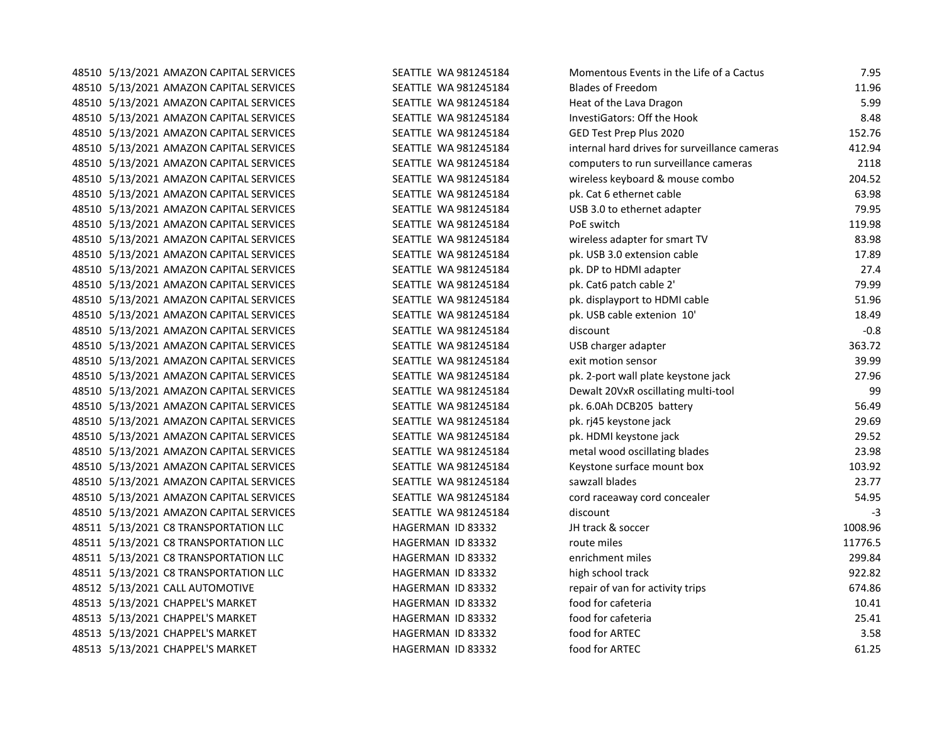48510 5/13/2021 AMAZON CAPITAL SERVICES SEATTLE WA 981245184 MOMENTO 48510 5/13/2021 AMAZON CAPITAL SERVICES SEATTLE WA 981245184 BL 48510 5/13/2021 AMAZON CAPITAL SERVICES SEATTLE WA 981245184 Heat of the Lava Dragon SEATTLE WA 981245184 48510 5/13/2021 AMAZON CAPITAL SERVICES SEATTLE WA 981245184 In 48510 5/13/2021 AMAZON CAPITAL SERVICES SEATTLE WA 981245184 G 48510 5/13/2021 AMAZON CAPITAL SERVICES SEATTLE WA 981245184 in 48510 5/13/2021 AMAZON CAPITAL SERVICES SEATTLE WA 981245184 computers to run surveillance cameras and run sur 48510 5/13/2021 AMAZON CAPITAL SERVICES SEATTLE WA 981245184 wireless keyboard wireless keyboard wird and mous 48510 5/13/2021 AMAZON CAPITAL SERVICES SEATTLE WA 981245184 pk. Cat 6 ethernet cable 63.98 48510 5/13/2021 AMAZON CAPITAL SERVICES SEATTLE WA 981245184 USB 3.0 to ethernet additional additional methori 48510 5/13/2021 AMAZON CAPITAL SERVICES SEATTLE WA 981245184 PO 48510 5/13/2021 AMAZON CAPITAL SERVICES SEATTLE WA 981245184 wird 48510 5/13/2021 AMAZON CAPITAL SERVICES SEATTLE WA 981245184 pk. USB 3.0 extension cable 17.89 48510 5/13/2021 AMAZON CAPITAL SERVICES SEATTLE WA 981245184 pk. DP to HDMI adapter 27.4 48510 5/13/2021 AMAZON CAPITAL SERVICES SEATTLE WA 981245184 pk. Cat6 patch cable 2' 79.99 48510 5/13/2021 AMAZON CAPITAL SERVICES SEATTLE WA 981245184 pl 48510 5/13/2021 AMAZON CAPITAL SERVICES SEATTLE WA 981245184 pk. USB cable extenion 10' 18.49 48510 5/13/2021 AMAZON CAPITAL SERVICES SEATTLE WA 981245184 di 48510 5/13/2021 AMAZON CAPITAL SERVICES SEATTLE WA 981245184 U 48510 5/13/2021 AMAZON CAPITAL SERVICES SEATTLE WA 981245184 existe and sensor 3 48510 5/13/2021 AMAZON CAPITAL SERVICES SEATTLE WA 981245184 pl 48510 5/13/2021 AMAZON CAPITAL SERVICES SEATTLE WA 981245184 D 48510 5/13/2021 AMAZON CAPITAL SERVICES SEATTLE WA 981245184 pl. 48510 5/13/2021 AMAZON CAPITAL SERVICES SEATTLE WA 981245184 pl. pk 48510 5/13/2021 AMAZON CAPITAL SERVICES SEATTLE WA 981245184 pk. HDMI keystone jack 29.52 48510 5/13/2021 AMAZON CAPITAL SERVICES SEATTLE WA 981245184 metal wood oscillating blades 23.98 48510 5/13/2021 AMAZON CAPITAL SERVICES SEATTLE WA 981245184 Ke 48510 5/13/2021 AMAZON CAPITAL SERVICES SEATTLE WA 981245184 sa 48510 5/13/2021 AMAZON CAPITAL SERVICES SEATTLE WA 981245184 co 48510 5/13/2021 AMAZON CAPITAL SERVICES SEATTLE WA 981245184 di 48511 5/13/2021 C8 TRANSPORTATION LLC HAGERMAN ID 83332 JH track & soccer 1008.96 48511 5/13/2021 C8 TRANSPORTATION LLC 
HAGERMAN ID 83332

route many the manufacture miles in the miles of the miles in the miles of the miles of the miles in the miles of the miles of the miles of the miles of the miles o 48511 5/13/2021 C8 TRANSPORTATION LLC HAGERMAN ID 83332 enrichment miles 299.84 48511 5/13/2021 C8 TRANSPORTATION LLC **HAGERMAN ID 83332** hi 48512 5/13/2021 CALL AUTOMOTIVE **AUTOMOTIVE REPAIR IN FORMAN ID 83332** represents 674.866 48513 5/13/2021 CHAPPEL'S MARKET **HAGERMAN ID 83332** fo 48513 5/13/2021 CHAPPEL'S MARKET HAGERMAN ID 83332 for career for career for career for career for career for c 48513 5/13/2021 CHAPPEL'S MARKET HAGERMAN ID 83332 food for ARTEC 3.58 48513 5/13/2021 CHAPPEL'S MARKET **ARTEC 61.25 Food for ARTEC 61.25 Food for ARTEC 61.25** fo

| Aomentous Events in the Life of a Cactus     | 7.95    |
|----------------------------------------------|---------|
| lades of Freedom                             | 11.96   |
| leat of the Lava Dragon                      | 5.99    |
| nvestiGators: Off the Hook                   | 8.48    |
| <b>ED Test Prep Plus 2020</b>                | 152.76  |
| nternal hard drives for surveillance cameras | 412.94  |
| omputers to run surveillance cameras         | 2118    |
| vireless keyboard & mouse combo              | 204.52  |
| k. Cat 6 ethernet cable                      | 63.98   |
| ISB 3.0 to ethernet adapter                  | 79.95   |
| oE switch                                    | 119.98  |
| vireless adapter for smart TV                | 83.98   |
| k. USB 3.0 extension cable                   | 17.89   |
| k. DP to HDMI adapter                        | 27.4    |
| k. Cat6 patch cable 2'                       | 79.99   |
| k. displayport to HDMI cable                 | 51.96   |
| k. USB cable extenion 10'                    | 18.49   |
| iscount                                      | $-0.8$  |
| <b>ISB charger adapter</b>                   | 363.72  |
| xit motion sensor                            | 39.99   |
| k. 2-port wall plate keystone jack           | 27.96   |
| ewalt 20VxR oscillating multi-tool           | 99      |
| k. 6.0Ah DCB205 battery                      | 56.49   |
| k. rj45 keystone jack                        | 29.69   |
| k. HDMI keystone jack                        | 29.52   |
| netal wood oscillating blades                | 23.98   |
| eystone surface mount box                    | 103.92  |
| awzall blades                                | 23.77   |
| ord raceaway cord concealer                  | 54.95   |
| iscount                                      | $-3$    |
| H track & soccer                             | 1008.96 |
| oute miles                                   | 11776.5 |
| nrichment miles                              | 299.84  |
| igh school track                             | 922.82  |
| epair of van for activity trips              | 674.86  |
| ood for cafeteria                            | 10.41   |
| ood for cafeteria                            | 25.41   |
| ood for ARTEC                                | 3.58    |
| ood for ARTEC                                | 61.25   |
|                                              |         |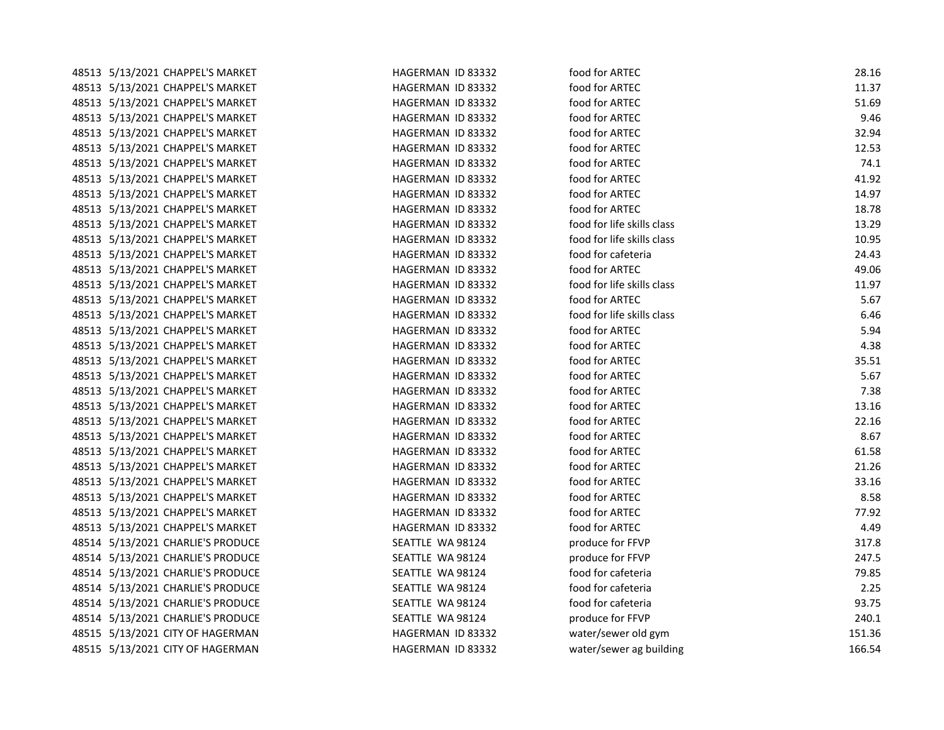| 48513 5/13/2021 CHAPPEL'S MARKET  | HAGERMAN ID 83332 | food for ARTEC             | 28.16  |
|-----------------------------------|-------------------|----------------------------|--------|
| 48513 5/13/2021 CHAPPEL'S MARKET  | HAGERMAN ID 83332 | food for ARTEC             | 11.37  |
| 48513 5/13/2021 CHAPPEL'S MARKET  | HAGERMAN ID 83332 | food for ARTEC             | 51.69  |
| 48513 5/13/2021 CHAPPEL'S MARKET  | HAGERMAN ID 83332 | food for ARTEC             | 9.46   |
| 48513 5/13/2021 CHAPPEL'S MARKET  | HAGERMAN ID 83332 | food for ARTEC             | 32.94  |
| 48513 5/13/2021 CHAPPEL'S MARKET  | HAGERMAN ID 83332 | food for ARTEC             | 12.53  |
| 48513 5/13/2021 CHAPPEL'S MARKET  | HAGERMAN ID 83332 | food for ARTEC             | 74.1   |
| 48513 5/13/2021 CHAPPEL'S MARKET  | HAGERMAN ID 83332 | food for ARTEC             | 41.92  |
| 48513 5/13/2021 CHAPPEL'S MARKET  | HAGERMAN ID 83332 | food for ARTEC             | 14.97  |
| 48513 5/13/2021 CHAPPEL'S MARKET  | HAGERMAN ID 83332 | food for ARTEC             | 18.78  |
| 48513 5/13/2021 CHAPPEL'S MARKET  | HAGERMAN ID 83332 | food for life skills class | 13.29  |
| 48513 5/13/2021 CHAPPEL'S MARKET  | HAGERMAN ID 83332 | food for life skills class | 10.95  |
| 48513 5/13/2021 CHAPPEL'S MARKET  | HAGERMAN ID 83332 | food for cafeteria         | 24.43  |
| 48513 5/13/2021 CHAPPEL'S MARKET  | HAGERMAN ID 83332 | food for ARTEC             | 49.06  |
| 48513 5/13/2021 CHAPPEL'S MARKET  | HAGERMAN ID 83332 | food for life skills class | 11.97  |
| 48513 5/13/2021 CHAPPEL'S MARKET  | HAGERMAN ID 83332 | food for ARTEC             | 5.67   |
| 48513 5/13/2021 CHAPPEL'S MARKET  | HAGERMAN ID 83332 | food for life skills class | 6.46   |
| 48513 5/13/2021 CHAPPEL'S MARKET  | HAGERMAN ID 83332 | food for ARTEC             | 5.94   |
| 48513 5/13/2021 CHAPPEL'S MARKET  | HAGERMAN ID 83332 | food for ARTEC             | 4.38   |
| 48513 5/13/2021 CHAPPEL'S MARKET  | HAGERMAN ID 83332 | food for ARTEC             | 35.51  |
| 48513 5/13/2021 CHAPPEL'S MARKET  | HAGERMAN ID 83332 | food for ARTEC             | 5.67   |
| 48513 5/13/2021 CHAPPEL'S MARKET  | HAGERMAN ID 83332 | food for ARTEC             | 7.38   |
| 48513 5/13/2021 CHAPPEL'S MARKET  | HAGERMAN ID 83332 | food for ARTEC             | 13.16  |
| 48513 5/13/2021 CHAPPEL'S MARKET  | HAGERMAN ID 83332 | food for ARTEC             | 22.16  |
| 48513 5/13/2021 CHAPPEL'S MARKET  | HAGERMAN ID 83332 | food for ARTEC             | 8.67   |
| 48513 5/13/2021 CHAPPEL'S MARKET  | HAGERMAN ID 83332 | food for ARTEC             | 61.58  |
| 48513 5/13/2021 CHAPPEL'S MARKET  | HAGERMAN ID 83332 | food for ARTEC             | 21.26  |
| 48513 5/13/2021 CHAPPEL'S MARKET  | HAGERMAN ID 83332 | food for ARTEC             | 33.16  |
| 48513 5/13/2021 CHAPPEL'S MARKET  | HAGERMAN ID 83332 | food for ARTEC             | 8.58   |
| 48513 5/13/2021 CHAPPEL'S MARKET  | HAGERMAN ID 83332 | food for ARTEC             | 77.92  |
| 48513 5/13/2021 CHAPPEL'S MARKET  | HAGERMAN ID 83332 | food for ARTEC             | 4.49   |
| 48514 5/13/2021 CHARLIE'S PRODUCE | SEATTLE WA 98124  | produce for FFVP           | 317.8  |
| 48514 5/13/2021 CHARLIE'S PRODUCE | SEATTLE WA 98124  | produce for FFVP           | 247.5  |
| 48514 5/13/2021 CHARLIE'S PRODUCE | SEATTLE WA 98124  | food for cafeteria         | 79.85  |
| 48514 5/13/2021 CHARLIE'S PRODUCE | SEATTLE WA 98124  | food for cafeteria         | 2.25   |
| 48514 5/13/2021 CHARLIE'S PRODUCE | SEATTLE WA 98124  | food for cafeteria         | 93.75  |
| 48514 5/13/2021 CHARLIE'S PRODUCE | SEATTLE WA 98124  | produce for FFVP           | 240.1  |
| 48515 5/13/2021 CITY OF HAGERMAN  | HAGERMAN ID 83332 | water/sewer old gym        | 151.36 |
| 48515 5/13/2021 CITY OF HAGERMAN  | HAGERMAN ID 83332 | water/sewer ag building    | 166.54 |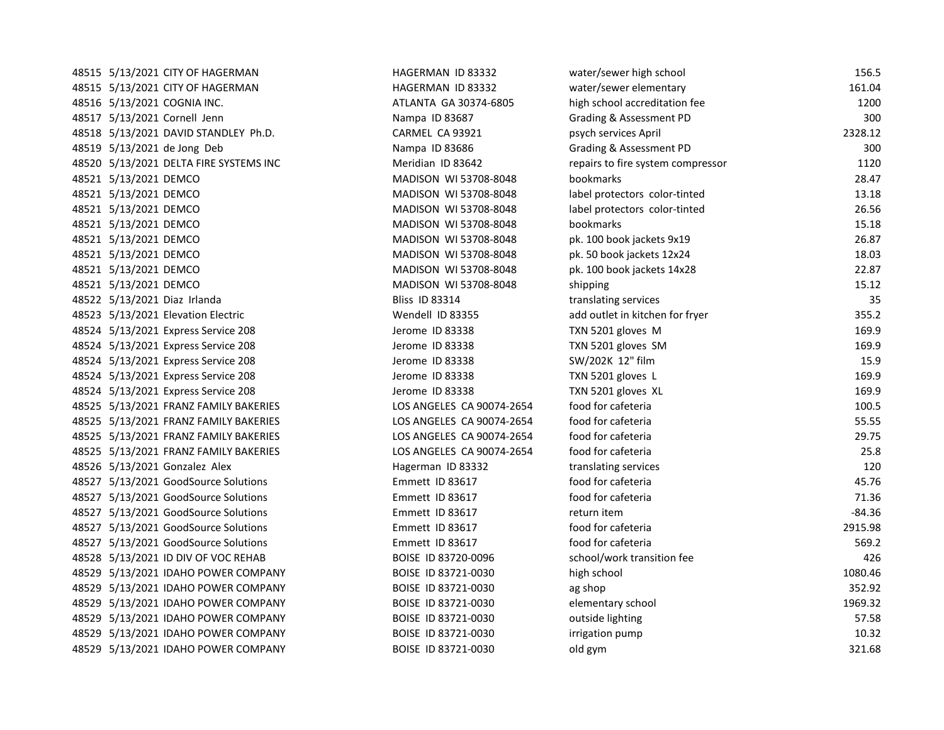48515 5/13/2021 CITY OF HAGERMAN HAGERMAN HAGERMAN ID 83332 ww 48515 5/13/2021 CITY OF HAGERMAN HAGERMAN HAGERMAN ID 83332 w 48516 5/13/2021 COGNIA INC. ATLANTA GA 30374-6805 high school accredit accredit fee 1200 high school accredit 48517 5/13/2021 Cornell Jenn Nampa ID 83687 G 48518 5/13/2021 DAVID STANDLEY Ph.D. CARMEL CA 93921 psychology and psychology psychology psychology and psych 48519 5/13/2021 de Jong Deb Nampa ID 83686 Grading 30021 de Jong Deb 48520 5/13/2021 DELTA FIRE SYSTEMS INC MERRIS MORTIDIAN ID 83642 repressor 1120 48521 5/13/2021 DEMCO MADISON WI 53708-8048 bookmarks 28.47 48521 5/13/2021 DEMCO and protectors color-tinted 13.18520 MADISON WI 53708-8048 48521 5/13/2021 DEMCO and protectors color-tinted 26.5708-8048 label protectors color-tinted 26.5666 label pro 48521 5/13/2021 DEMCO MADISON WI 53708-8048 bookmarks 15.18 48521 5/13/2021 DEMCO **MADISON WI 53708-8048** pk. 100 book jackets 9x19 26.877 book jackets 9x19 26.877 book ja 48521 5/13/2021 DEMCO MADISON WI 53708-8048 pk. 50 book jackets 12x24 18.03 48521 5/13/2021 DEMCO MADISON WI 53708-8048 pk. 100 book jackets 14x28 22.87 48521 5/13/2021 DEMCO MADISON WI 53708-8048 shipping 15.12 48522 5/13/2021 Diaz Irlanda bliss ID 83314 translating services 35-13 translating services 35-13 translating t 48523 5/13/2021 Elevation Electric add outlet in the Wendell ID 83355. 48524 5/13/2021 Express Service 208 Jerome ID 83338 TX 48524 5/13/2021 Express Service 208 Jerome ID 83338 TX 48524 5/13/2021 Express Service 208 Jerome ID 83338 SW 48524 5/13/2021 Express Service 208 Jerome ID 83338 TX 48524 5/13/2021 Express Service 208 Jerome ID 83338 TX 48525 5/13/2021 FRANZ FAMILY BAKERIES LOS ANGELES CA 90074-2654 food for cafeteria 100.5 48525 5/13/2021 FRANZ FAMILY BAKERIES LOS ANGELES CA 90074-2654 food for cafeteria 55.55 48525 5/13/2021 FRANZ FAMILY BAKERIES LOS ANGELES CA 90074-2654 fo 48525 5/13/2021 FRANZ FAMILY BAKERIES LOS ANGELES CA 90074-2654 fo 48526 5/13/2021 Gonzalez Alex **Hagerman ID 83332** translation services 120 translation services 120 translation se 48527 5/13/2021 GoodSource Solutions **Emmett ID 83617** for career for career and for career and for career and fo 48527 5/13/2021 GoodSource Solutions **Emmett ID 83617** for career for career and for career and for career and fo 48527 5/13/2021 GoodSource Solutions **Emmett ID 83617** return item -84.364.364.364.364.364.364.364.36 48527 5/13/2021 GoodSource Solutions **Emmett ID 83617** fo 48527 5/13/2021 GoodSource Solutions **Emmett ID 83617** for career for career for career and for career and for ca 48528 5/13/2021 ID DIV OF VOC REHAB BOISE ID 83720-0096 school 48529 5/13/2021 IDAHO POWER COMPANY BOISE ID 83721-0030 high school 1080.467 48529 5/13/2021 IDAHO POWER COMPANY BOISE ID 83721-0030 ag shop 352.92 48529 5/13/2021 IDAHO POWER COMPANY BOISE ID 83721-0030 elementary school 1969.32 48529 5/13/2021 IDAHO POWER COMPANY BOISE ID 83721-0030 outside the state of 48529 5/13/2021 IDAHO POWER COMPANY BOISE ID 83721-0030 irrigation pump 10.3221-0030 48529 5/13/2021 IDAHO POWER COMPANY BOISE ID 83721-0030 old gym 321.68

| ater/sewer high school           | 156.5    |
|----------------------------------|----------|
| ater/sewer elementary            | 161.04   |
| igh school accreditation fee     | 1200     |
| rading & Assessment PD           | 300      |
| sych services April              | 2328.12  |
| rading & Assessment PD           | 300      |
| epairs to fire system compressor | 1120     |
| ookmarks                         | 28.47    |
| bel protectors color-tinted      | 13.18    |
| bel protectors color-tinted      | 26.56    |
| ookmarks                         | 15.18    |
| k. 100 book jackets 9x19         | 26.87    |
| k. 50 book jackets 12x24         | 18.03    |
| k. 100 book jackets 14x28        | 22.87    |
| hipping                          | 15.12    |
| anslating services               | 35       |
| dd outlet in kitchen for fryer   | 355.2    |
| XN 5201 gloves M                 | 169.9    |
| XN 5201 gloves SM                | 169.9    |
| W/202K 12" film                  | 15.9     |
| XN 5201 gloves L                 | 169.9    |
| XN 5201 gloves XL                | 169.9    |
| ood for cafeteria                | 100.5    |
| ood for cafeteria                | 55.55    |
| ood for cafeteria                | 29.75    |
| ood for cafeteria                | 25.8     |
| anslating services               | 120      |
| ood for cafeteria                | 45.76    |
| ood for cafeteria                | 71.36    |
| eturn item                       | $-84.36$ |
| ood for cafeteria                | 2915.98  |
| ood for cafeteria                | 569.2    |
| chool/work transition fee        | 426      |
| igh school                       | 1080.46  |
| g shop                           | 352.92   |
| lementary school                 | 1969.32  |
| utside lighting                  | 57.58    |
| rigation pump                    | 10.32    |
| ld gym                           | 321.68   |
|                                  |          |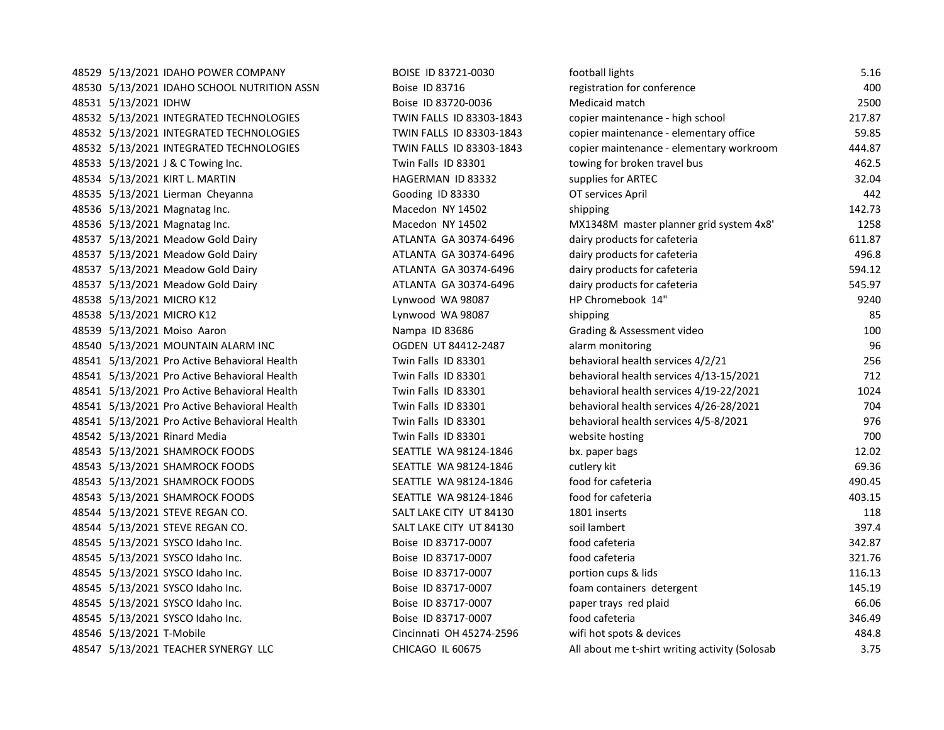48529 5/13/2021 IDAHO POWER COMPANY BOISE ID 83721-0030 60 48530 5/13/2021 IDAHO SCHOOL NUTRITION ASSN Boise ID 83716 registration for conference 400 48531 5/13/2021 IDHW Boise ID 83720-0036 Medicaid match 2500 48532 5/13/2021 INTEGRATED TECHNOLOGIES TWIN FALLS ID 83303-1843 comprehensive maintenance and school 217.87.8 48532 5/13/2021 INTEGRATED TECHNOLOGIES TWIN FALLS ID 83303-1843 comprehensive maintenance of 48532 5/13/2021 INTEGRATED TECHNOLOGIES TWIN FALLS ID 83303-1843 co 48533 5/13/2021 J & C Towing Inc. Twin Falls ID 83301 to bus 462.53 towards to bus 462.53 to bus 462.55 to bus 46 48534 5/13/2021 KIRT L. MARTIN NEWSLAU HAGERMAN ID 83332 supplies for ARTEC 32.044 Supplies for ARTEC 32.044 S 48535 5/13/2021 Lierman Cheyanna Gooding ID 83330 OT Services April 48535 O 48536 5/13/2021 Magnatag Inc. 1988 1989 Macedon NY 14502 Shipping 142.733 Shipping 142.733 Shipping 142.733 Sh 48536 5/13/2021 Magnatag Inc. Macedon NY 14502 MX134802 MX 48537 5/13/2021 Meadow Gold Dairy ATLANTA GA 30374-6496 dairy products for care care cafety for care care cafe 48537 5/13/2021 Meadow Gold Dairy **ATLANTA GA 30374-6496** dairy products for care care cafety for care cafety 48537 5/13/2021 Meadow Gold Dairy ATLANTA GA 30374-6496 dairy products for care care cafety for care care for 48537 5/13/2021 Meadow Gold Dairy ATLANTA GA 30374-6496 dairy products for care care cafety for care care for c 48538 5/13/2021 MICRO K12 Lynwood WA 98087 HP ENDING 148538 HP Chromebook 14 AM Chromebook 14 AM Chromebook 14 48538 5/13/2021 MICRO K12 Shipping 85 Lynwood WA 98087 shipping 85 48539 5/13/2021 Moiso Aaron Nampa ID 83686 Grading Bases of Grading Assessment video 100 and 100 and 1000 and 1 48540 5/13/2021 MOUNTAIN ALARM INC OGDEN UT 84412-2487 alarm monitoring 96 48541 5/13/2021 Pro Active Behavioral Health Twin Falls ID 83301 behavioral health services 4/21 2566 and the 48541 5/13/2021 Pro Active Behavioral Health Twin Falls ID 83301 behavioral health services 4/13-15/2021 Pro 48541 5/13/2021 Pro Active Behavioral Health Twin Falls ID 83301 behavioral health services 4/19-22 48541 5/13/2021 Pro Active Behavioral Health Twin Falls ID 83301 behavioral health services 4/26-28/2021 Pro A 48541 5/13/2021 Pro Active Behavioral Health Twin Falls ID 83301 behavioral health services 4/5-8/2021 976-8. 48542 5/13/2021 Rinard Media Twin Twin Falls ID 83301 website hosting 7000 website hosting 7000 website hosting 7000 w 48543 5/13/2021 SHAMROCK FOODS SEATTLE WA 98124-1846 bx. paper bags 12.02 48543 5/13/2021 SHAMROCK FOODS SEATTLE WA 98124-1846 cut 48543 5/13/2021 SHAMROCK FOODS SEATTLE WA 98124-1846 for care for care for care for care for care for care for 48543 5/13/2021 SHAMROCK FOODS SEATTLE WA 98124-1846 for care for care for care for care for care for care for 48544 5/13/2021 STEVE REGAN CO. SALT LAKE CITY UT 84130 18 48544 5/13/2021 STEVE REGAN CO. SALT LAKE CITY UT 84130 Solution and the solution of the solution of the solution of the solution of the solution of the solution of the solution of the solution of the solution of the solut 48545 5/13/2021 SYSCO Idaho Inc. Boise ID 83717-0007 food cafeteria 342.87 48545 5/13/2021 SYSCO Idaho Inc. Boise ID 83717-0007 food cafeteria 321.76 48545 5/13/2021 SYSCO Idaho Inc. Boise ID 83717-0007 portion cups and the line of the line of the line of the li 48545 5/13/2021 SYSCO Idaho Inc. https://www.marcontainers.com/ Boise ID 83717-0007 for the fo 48545 5/13/2021 SYSCO Idaho Inc. And Boise ID 83717-0007 paper to pay below the plant of plane paper transmission of plane plane plane paper transmission of plane plane plane plane plane plane plane plane plane plane plane 48545 5/13/2021 SYSCO Idaho Inc. Boise ID 83717-0007 food cafeteria 346.49 48546 5/13/2021 T-Mobile Cincinnati OH 45274-2596 with with the control of the device 4854.8 with the device 4 48547 5/13/2021 TEACHER SYNERGY LLC CHICAGO IL 60675 All about me teams and solosab 3.755 All about Me transmit

| ootball lights                                | 5.16   |
|-----------------------------------------------|--------|
| egistration for conference                    | 400    |
| ledicaid match                                | 2500   |
| opier maintenance - high school               | 217.87 |
| opier maintenance - elementary office         | 59.85  |
| opier maintenance - elementary workroom       | 444.87 |
| owing for broken travel bus                   | 462.5  |
| upplies for ARTEC                             | 32.04  |
| T services April                              | 442    |
| hipping                                       | 142.73 |
| 1X1348M master planner grid system 4x8'       | 1258   |
| airy products for cafeteria                   | 611.87 |
| airy products for cafeteria                   | 496.8  |
| airy products for cafeteria                   | 594.12 |
| airy products for cafeteria                   | 545.97 |
| P Chromebook 14"                              | 9240   |
| hipping                                       | 85     |
| rading & Assessment video                     | 100    |
| larm monitoring                               | 96     |
| ehavioral health services 4/2/21              | 256    |
| ehavioral health services 4/13-15/2021        | 712    |
| ehavioral health services 4/19-22/2021        | 1024   |
| ehavioral health services 4/26-28/2021        | 704    |
| ehavioral health services 4/5-8/2021          | 976    |
| ebsite hosting                                | 700    |
| x. paper bags                                 | 12.02  |
| utlery kit                                    | 69.36  |
| ood for cafeteria                             | 490.45 |
| ood for cafeteria                             | 403.15 |
| 801 inserts                                   | 118    |
| pil lambert                                   | 397.4  |
| ood cafeteria                                 | 342.87 |
| ood cafeteria                                 | 321.76 |
| ortion cups & lids                            | 116.13 |
| bam containers detergent                      | 145.19 |
| aper trays red plaid                          | 66.06  |
| ood cafeteria                                 | 346.49 |
| ifi hot spots & devices                       | 484.8  |
| Il about me t-shirt writing activity (Solosab | 3.75   |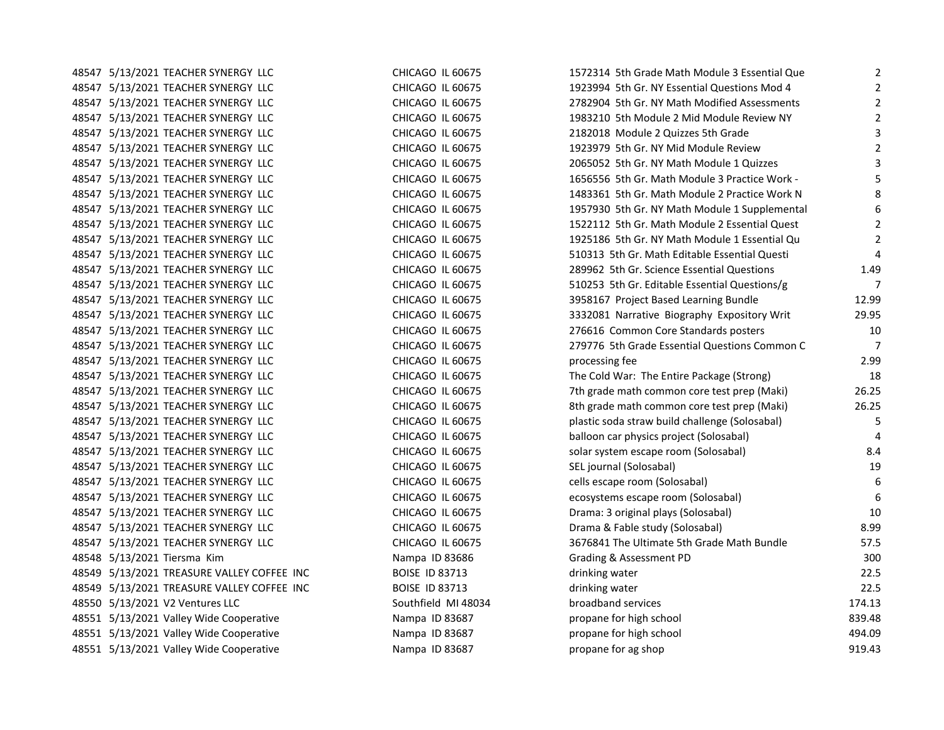| 48547 5/13/2021 TEACHER SYNERGY LLC        | CHICAGO IL 60675      | 1572314 5th Grade Math Module 3 Essential Que  | $\overline{2}$ |
|--------------------------------------------|-----------------------|------------------------------------------------|----------------|
| 48547 5/13/2021 TEACHER SYNERGY LLC        | CHICAGO IL 60675      | 1923994 5th Gr. NY Essential Questions Mod 4   | $\overline{2}$ |
| 48547 5/13/2021 TEACHER SYNERGY LLC        | CHICAGO IL 60675      | 2782904 5th Gr. NY Math Modified Assessments   | $\overline{2}$ |
| 48547 5/13/2021 TEACHER SYNERGY LLC        | CHICAGO IL 60675      | 1983210 5th Module 2 Mid Module Review NY      | $\overline{2}$ |
| 48547 5/13/2021 TEACHER SYNERGY LLC        | CHICAGO IL 60675      | 2182018 Module 2 Quizzes 5th Grade             | 3              |
| 48547 5/13/2021 TEACHER SYNERGY LLC        | CHICAGO IL 60675      | 1923979 5th Gr. NY Mid Module Review           | 2              |
| 48547 5/13/2021 TEACHER SYNERGY LLC        | CHICAGO IL 60675      | 2065052 5th Gr. NY Math Module 1 Quizzes       | 3              |
| 48547 5/13/2021 TEACHER SYNERGY LLC        | CHICAGO IL 60675      | 1656556 5th Gr. Math Module 3 Practice Work -  | 5              |
| 48547 5/13/2021 TEACHER SYNERGY LLC        | CHICAGO IL 60675      | 1483361 5th Gr. Math Module 2 Practice Work N  | 8              |
| 48547 5/13/2021 TEACHER SYNERGY LLC        | CHICAGO IL 60675      | 1957930 5th Gr. NY Math Module 1 Supplemental  | 6              |
| 48547 5/13/2021 TEACHER SYNERGY LLC        | CHICAGO IL 60675      | 1522112 5th Gr. Math Module 2 Essential Quest  | $\overline{2}$ |
| 48547 5/13/2021 TEACHER SYNERGY LLC        | CHICAGO IL 60675      | 1925186 5th Gr. NY Math Module 1 Essential Qu  | 2              |
| 48547 5/13/2021 TEACHER SYNERGY LLC        | CHICAGO IL 60675      | 510313 5th Gr. Math Editable Essential Questi  | $\overline{a}$ |
| 48547 5/13/2021 TEACHER SYNERGY LLC        | CHICAGO IL 60675      | 289962 5th Gr. Science Essential Questions     | 1.49           |
| 48547 5/13/2021 TEACHER SYNERGY LLC        | CHICAGO IL 60675      | 510253 5th Gr. Editable Essential Questions/g  | $\overline{7}$ |
| 48547 5/13/2021 TEACHER SYNERGY LLC        | CHICAGO IL 60675      | 3958167 Project Based Learning Bundle          | 12.99          |
| 48547 5/13/2021 TEACHER SYNERGY LLC        | CHICAGO IL 60675      | 3332081 Narrative Biography Expository Writ    | 29.95          |
| 48547 5/13/2021 TEACHER SYNERGY LLC        | CHICAGO IL 60675      | 276616 Common Core Standards posters           | 10             |
| 48547 5/13/2021 TEACHER SYNERGY LLC        | CHICAGO IL 60675      | 279776 5th Grade Essential Questions Common C  | $\overline{7}$ |
| 48547 5/13/2021 TEACHER SYNERGY LLC        | CHICAGO IL 60675      | processing fee                                 | 2.99           |
| 48547 5/13/2021 TEACHER SYNERGY LLC        | CHICAGO IL 60675      | The Cold War: The Entire Package (Strong)      | 18             |
| 48547 5/13/2021 TEACHER SYNERGY LLC        | CHICAGO IL 60675      | 7th grade math common core test prep (Maki)    | 26.25          |
| 48547 5/13/2021 TEACHER SYNERGY LLC        | CHICAGO IL 60675      | 8th grade math common core test prep (Maki)    | 26.25          |
| 48547 5/13/2021 TEACHER SYNERGY LLC        | CHICAGO IL 60675      | plastic soda straw build challenge (Solosabal) | 5              |
| 48547 5/13/2021 TEACHER SYNERGY LLC        | CHICAGO IL 60675      | balloon car physics project (Solosabal)        | $\overline{a}$ |
| 48547 5/13/2021 TEACHER SYNERGY LLC        | CHICAGO IL 60675      | solar system escape room (Solosabal)           | 8.4            |
| 48547 5/13/2021 TEACHER SYNERGY LLC        | CHICAGO IL 60675      | SEL journal (Solosabal)                        | 19             |
| 48547 5/13/2021 TEACHER SYNERGY LLC        | CHICAGO IL 60675      | cells escape room (Solosabal)                  | 6              |
| 48547 5/13/2021 TEACHER SYNERGY LLC        | CHICAGO IL 60675      | ecosystems escape room (Solosabal)             | 6              |
| 48547 5/13/2021 TEACHER SYNERGY LLC        | CHICAGO IL 60675      | Drama: 3 original plays (Solosabal)            | 10             |
| 48547 5/13/2021 TEACHER SYNERGY LLC        | CHICAGO IL 60675      | Drama & Fable study (Solosabal)                | 8.99           |
| 48547 5/13/2021 TEACHER SYNERGY LLC        | CHICAGO IL 60675      | 3676841 The Ultimate 5th Grade Math Bundle     | 57.5           |
| 48548 5/13/2021 Tiersma Kim                | Nampa ID 83686        | Grading & Assessment PD                        | 300            |
| 48549 5/13/2021 TREASURE VALLEY COFFEE INC | <b>BOISE ID 83713</b> | drinking water                                 | 22.5           |
| 48549 5/13/2021 TREASURE VALLEY COFFEE INC | <b>BOISE ID 83713</b> | drinking water                                 | 22.5           |
| 48550 5/13/2021 V2 Ventures LLC            | Southfield MI 48034   | broadband services                             | 174.13         |
| 48551 5/13/2021 Valley Wide Cooperative    | Nampa ID 83687        | propane for high school                        | 839.48         |
| 48551 5/13/2021 Valley Wide Cooperative    | Nampa ID 83687        | propane for high school                        | 494.09         |
| 48551 5/13/2021 Valley Wide Cooperative    | Nampa ID 83687        | propane for ag shop                            | 919.43         |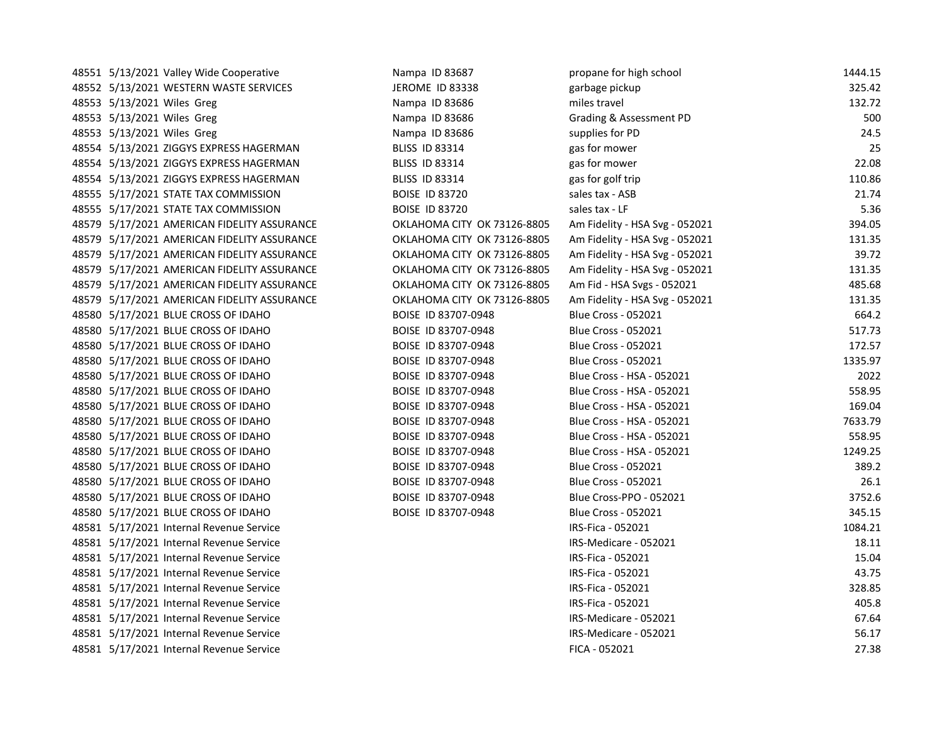48551 5/13/2021 Valley Wide Cooperative Nampa ID 83687 propane for high school 1445.15 propane for high school 1 48552 5/13/2021 WESTERN WASTE SERVICES THE SEROME ID 83338 garde pickup 325.422 garbage pickup 325.42 48553 5/13/2021 Wiles Greg Nampa ID 83686 miles travel 132.722.722.722.722.722.72 48553 5/13/2021 Wiles Greg Nampa ID 83686 Grading Bases of Grading Bases of Grading Bases of Grading B 48553 5/13/2021 Wiles Greg Nampa ID 83686 supplies for PD 33686 supplies for PD 34.5 supplies for PD 24.5 supplies for PD 24.5 supplies for PD 24.5 supplies for PD 24.5 supplies for PD 24.5 supplies for PD 24.5 supplies fo 48554 5/13/2021 ZIGGYS EXPRESS HAGERMAN BLISS ID 83314 gas for mower 25 48554 5/13/2021 ZIGGYS EXPRESS HAGERMAN BLISS ID 83314 gas for mower 22.08 48554 5/13/2021 ZIGGYS EXPRESS HAGERMAN BLISS ID 83314 gas for golf trip 110.86 48555 5/17/2021 STATE TAX COMMISSION BOISE ID 83720 48555 5/17/2021 STATE TAX COMMISSION BOISE ID 83720 sa 48579 5/17/2021 AMERICAN FIDELITY ASSURANCE **OKLAHOMA CITY OK 73126-8805** A 48579 5/17/2021 AMERICAN FIDELITY ASSURANCE **CHALLAHOMA CITY OK 73126-8805** A 48579 5/17/2021 AMERICAN FIDELITY ASSURANCE **OKLAHOMA CITY OK 73126-8805** A 48579 5/17/2021 AMERICAN FIDELITY ASSURANCE **OKLAHOMA CITY OK 73126-8805** A 48579 5/17/2021 AMERICAN FIDELITY ASSURANCE **OKLAHOMA CITY OK 73126-8805** A 48579 5/17/2021 AMERICAN FIDELITY ASSURANCE **CONTRIBERT OKLAHOMA CITY OK 73126-8805** A 48580 5/17/2021 BLUE CROSS OF IDAHO BOISE ID 83707-0948 BI 48580 5/17/2021 BLUE CROSS OF IDAHO BOISE ID 83707-0948 BI 48580 5/17/2021 BLUE CROSS OF IDAHO BOISE ID 83707-0948 BI 48580 5/17/2021 BLUE CROSS OF IDAHO BOISE ID 83707-0948 BI 48580 5/17/2021 BLUE CROSS OF IDAHO BOISE ID 83707-0948 BI 48580 5/17/2021 BLUE CROSS OF IDAHO BOISE ID 83707-0948 BI 48580 5/17/2021 BLUE CROSS OF IDAHO BOISE ID 83707-0948 BI 48580 5/17/2021 BLUE CROSS OF IDAHO BOISE ID 83707-0948 BI 48580 5/17/2021 BLUE CROSS OF IDAHO BOISE ID 83707-0948 BI 48580 5/17/2021 BLUE CROSS OF IDAHO BOISE ID 83707-0948 BI 48580 5/17/2021 BLUE CROSS OF IDAHO BOISE ID 83707-0948 BILUE CROSS OF IDAHO 48580 5/17/2021 BLUE CROSS OF IDAHO BOISE ID 83707-0948 BI 48580 5/17/2021 BLUE CROSS OF IDAHO BOISE ID 83707-0948 BI 48580 5/17/2021 BLUE CROSS OF IDAHO BOISE ID 83707-0948 BILUE CROSS OF IDAHO 48581 5/17/2021 Internal Revenue Service **IRS-Fica - 052021** III 48581 5/17/2021 Internal Revenue Service **IRS-Medicare - 052021 18.1212** IF 48581 5/17/2021 Internal Revenue Service **IRS-Fica - 052021 15.04201 15.04201 15.04201 15.04201 15.04201 15.0420** 48581 5/17/2021 Internal Revenue Service **IRS-Fica - 052021 2021 18.756 Engineer** II 48581 5/17/2021 Internal Revenue Service **IRS-Fica - 052021 328.8581 328.8581 328.8581** II 48581 5/17/2021 Internal Revenue Service **IRS-Fica - 052021 48581 5** IF 48581 5/17/2021 Internal Revenue Service **IRS-Medicare - 052021 67.642021 67.6420** IF 48581 5/17/2021 Internal Revenue Service **IRS-Medicare - 052021 56.17 Service** IR 48581 5/17/2021 Internal Revenue Service FICA - 052021 27.3882 27.3882 27.3882 27.3882 27.3882 27.38

| ropane for high school        | 1444.15 |
|-------------------------------|---------|
| arbage pickup                 | 325.42  |
| niles travel                  | 132.72  |
| Grading & Assessment PD       | 500     |
| upplies for PD                | 24.5    |
| as for mower                  | 25      |
| as for mower                  | 22.08   |
| as for golf trip              | 110.86  |
| ales tax - ASB                | 21.74   |
| ales tax - LF                 | 5.36    |
| m Fidelity - HSA Svg - 052021 | 394.05  |
| m Fidelity - HSA Svg - 052021 | 131.35  |
| m Fidelity - HSA Svg - 052021 | 39.72   |
| m Fidelity - HSA Svg - 052021 | 131.35  |
| m Fid - HSA Svgs - 052021     | 485.68  |
| m Fidelity - HSA Svg - 052021 | 131.35  |
| llue Cross - 052021           | 664.2   |
| llue Cross - 052021           | 517.73  |
| Ilue Cross - 052021           | 172.57  |
| lue Cross - 052021            | 1335.97 |
| llue Cross - HSA - 052021     | 2022    |
| llue Cross - HSA - 052021     | 558.95  |
| lue Cross - HSA - 052021      | 169.04  |
| llue Cross - HSA - 052021     | 7633.79 |
| lue Cross - HSA - 052021      | 558.95  |
| lue Cross - HSA - 052021      | 1249.25 |
| llue Cross - 052021           | 389.2   |
| llue Cross - 052021           | 26.1    |
| llue Cross-PPO - 052021       | 3752.6  |
| Ilue Cross - 052021           | 345.15  |
| RS-Fica - 052021              | 1084.21 |
| RS-Medicare - 052021          | 18.11   |
| RS-Fica - 052021              | 15.04   |
| RS-Fica - 052021              | 43.75   |
| RS-Fica - 052021              | 328.85  |
| RS-Fica - 052021              | 405.8   |
| RS-Medicare - 052021          | 67.64   |
| RS-Medicare - 052021          | 56.17   |
| ICA - 052021                  | 27.38   |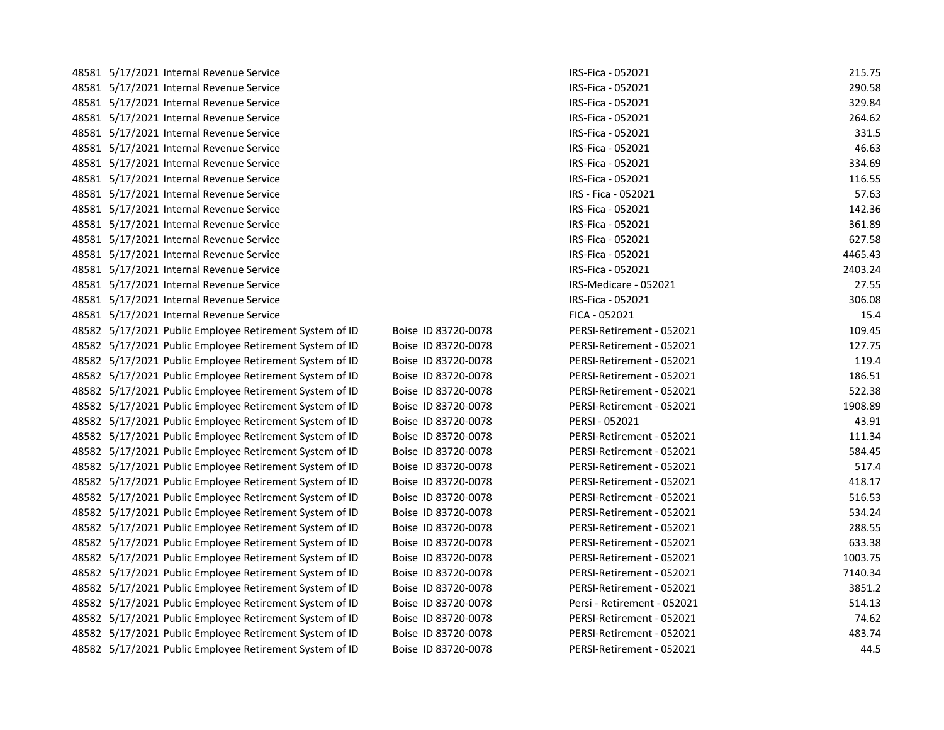| 48581 5/17/2021 Internal Revenue Service                |                     | IRS-Fica - 052021           | 215.75  |
|---------------------------------------------------------|---------------------|-----------------------------|---------|
| 48581 5/17/2021 Internal Revenue Service                |                     | IRS-Fica - 052021           | 290.58  |
| 48581 5/17/2021 Internal Revenue Service                |                     | IRS-Fica - 052021           | 329.84  |
| 48581 5/17/2021 Internal Revenue Service                |                     | IRS-Fica - 052021           | 264.62  |
| 48581 5/17/2021 Internal Revenue Service                |                     | IRS-Fica - 052021           | 331.5   |
| 48581 5/17/2021 Internal Revenue Service                |                     | IRS-Fica - 052021           | 46.63   |
| 48581 5/17/2021 Internal Revenue Service                |                     | IRS-Fica - 052021           | 334.69  |
| 48581 5/17/2021 Internal Revenue Service                |                     | IRS-Fica - 052021           | 116.55  |
| 48581 5/17/2021 Internal Revenue Service                |                     | IRS - Fica - 052021         | 57.63   |
| 48581 5/17/2021 Internal Revenue Service                |                     | IRS-Fica - 052021           | 142.36  |
| 48581 5/17/2021 Internal Revenue Service                |                     | IRS-Fica - 052021           | 361.89  |
| 48581 5/17/2021 Internal Revenue Service                |                     | IRS-Fica - 052021           | 627.58  |
| 48581 5/17/2021 Internal Revenue Service                |                     | IRS-Fica - 052021           | 4465.43 |
| 48581 5/17/2021 Internal Revenue Service                |                     | IRS-Fica - 052021           | 2403.24 |
| 48581 5/17/2021 Internal Revenue Service                |                     | IRS-Medicare - 052021       | 27.55   |
| 48581 5/17/2021 Internal Revenue Service                |                     | IRS-Fica - 052021           | 306.08  |
| 48581 5/17/2021 Internal Revenue Service                |                     | FICA - 052021               | 15.4    |
| 48582 5/17/2021 Public Employee Retirement System of ID | Boise ID 83720-0078 | PERSI-Retirement - 052021   | 109.45  |
| 48582 5/17/2021 Public Employee Retirement System of ID | Boise ID 83720-0078 | PERSI-Retirement - 052021   | 127.75  |
| 48582 5/17/2021 Public Employee Retirement System of ID | Boise ID 83720-0078 | PERSI-Retirement - 052021   | 119.4   |
| 48582 5/17/2021 Public Employee Retirement System of ID | Boise ID 83720-0078 | PERSI-Retirement - 052021   | 186.51  |
| 48582 5/17/2021 Public Employee Retirement System of ID | Boise ID 83720-0078 | PERSI-Retirement - 052021   | 522.38  |
| 48582 5/17/2021 Public Employee Retirement System of ID | Boise ID 83720-0078 | PERSI-Retirement - 052021   | 1908.89 |
| 48582 5/17/2021 Public Employee Retirement System of ID | Boise ID 83720-0078 | PERSI - 052021              | 43.91   |
| 48582 5/17/2021 Public Employee Retirement System of ID | Boise ID 83720-0078 | PERSI-Retirement - 052021   | 111.34  |
| 48582 5/17/2021 Public Employee Retirement System of ID | Boise ID 83720-0078 | PERSI-Retirement - 052021   | 584.45  |
| 48582 5/17/2021 Public Employee Retirement System of ID | Boise ID 83720-0078 | PERSI-Retirement - 052021   | 517.4   |
| 48582 5/17/2021 Public Employee Retirement System of ID | Boise ID 83720-0078 | PERSI-Retirement - 052021   | 418.17  |
| 48582 5/17/2021 Public Employee Retirement System of ID | Boise ID 83720-0078 | PERSI-Retirement - 052021   | 516.53  |
| 48582 5/17/2021 Public Employee Retirement System of ID | Boise ID 83720-0078 | PERSI-Retirement - 052021   | 534.24  |
| 48582 5/17/2021 Public Employee Retirement System of ID | Boise ID 83720-0078 | PERSI-Retirement - 052021   | 288.55  |
| 48582 5/17/2021 Public Employee Retirement System of ID | Boise ID 83720-0078 | PERSI-Retirement - 052021   | 633.38  |
| 48582 5/17/2021 Public Employee Retirement System of ID | Boise ID 83720-0078 | PERSI-Retirement - 052021   | 1003.75 |
| 48582 5/17/2021 Public Employee Retirement System of ID | Boise ID 83720-0078 | PERSI-Retirement - 052021   | 7140.34 |
| 48582 5/17/2021 Public Employee Retirement System of ID | Boise ID 83720-0078 | PERSI-Retirement - 052021   | 3851.2  |
| 48582 5/17/2021 Public Employee Retirement System of ID | Boise ID 83720-0078 | Persi - Retirement - 052021 | 514.13  |
| 48582 5/17/2021 Public Employee Retirement System of ID | Boise ID 83720-0078 | PERSI-Retirement - 052021   | 74.62   |
| 48582 5/17/2021 Public Employee Retirement System of ID | Boise ID 83720-0078 | PERSI-Retirement - 052021   | 483.74  |
| 48582 5/17/2021 Public Employee Retirement System of ID | Boise ID 83720-0078 | PERSI-Retirement - 052021   | 44.5    |